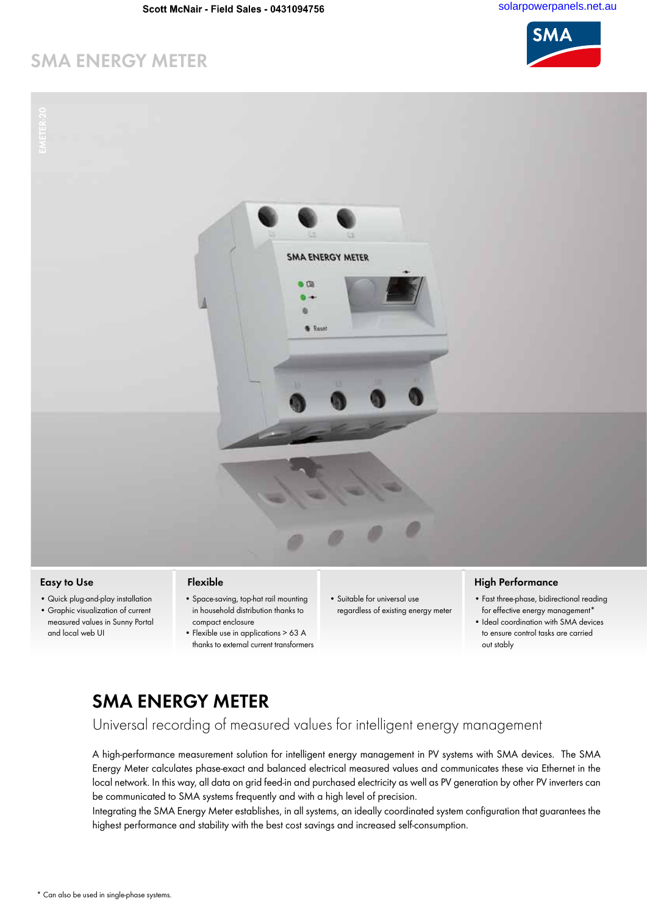# **SMA ENERGY METER**



- **Easy to Use**
- Quick plug-and-play installation
- Graphic visualization of current measured values in Sunny Portal and local web UI

### **Flexible**

- Space-saving, top-hat rail mounting in household distribution thanks to compact enclosure
- Flexible use in applications > 63 A thanks to external current transformers
- Suitable for universal use regardless of existing energy meter

## **High Performance**

- Fast three-phase, bidirectional reading for effective energy management\*
- Ideal coordination with SMA devices to ensure control tasks are carried out stably

# **SMA ENERGY METER**

Universal recording of measured values for intelligent energy management

A high-performance measurement solution for intelligent energy management in PV systems with SMA devices. The SMA Energy Meter calculates phase-exact and balanced electrical measured values and communicates these via Ethernet in the local network. In this way, all data on grid feed-in and purchased electricity as well as PV generation by other PV inverters can be communicated to SMA systems frequently and with a high level of precision.

Integrating the SMA Energy Meter establishes, in all systems, an ideally coordinated system configuration that guarantees the highest performance and stability with the best cost savings and increased self-consumption.